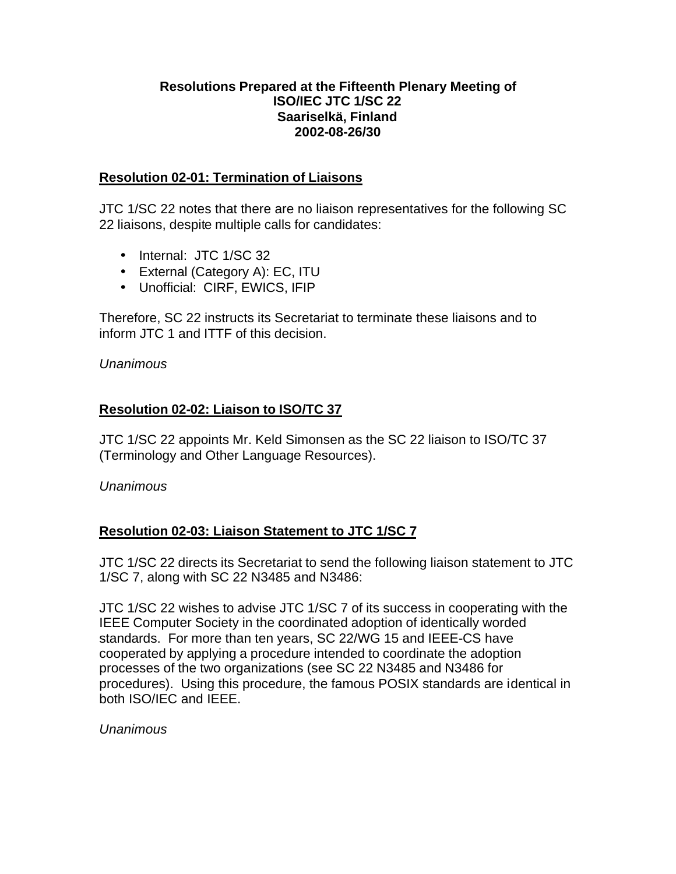#### **Resolutions Prepared at the Fifteenth Plenary Meeting of ISO/IEC JTC 1/SC 22 Saariselkä, Finland 2002-08-26/30**

## **Resolution 02-01: Termination of Liaisons**

JTC 1/SC 22 notes that there are no liaison representatives for the following SC 22 liaisons, despite multiple calls for candidates:

- Internal: JTC 1/SC 32
- External (Category A): EC, ITU
- Unofficial: CIRF, EWICS, IFIP

Therefore, SC 22 instructs its Secretariat to terminate these liaisons and to inform JTC 1 and ITTF of this decision.

#### *Unanimous*

# **Resolution 02-02: Liaison to ISO/TC 37**

JTC 1/SC 22 appoints Mr. Keld Simonsen as the SC 22 liaison to ISO/TC 37 (Terminology and Other Language Resources).

#### *Unanimous*

# **Resolution 02-03: Liaison Statement to JTC 1/SC 7**

JTC 1/SC 22 directs its Secretariat to send the following liaison statement to JTC 1/SC 7, along with SC 22 N3485 and N3486:

JTC 1/SC 22 wishes to advise JTC 1/SC 7 of its success in cooperating with the IEEE Computer Society in the coordinated adoption of identically worded standards. For more than ten years, SC 22/WG 15 and IEEE-CS have cooperated by applying a procedure intended to coordinate the adoption processes of the two organizations (see SC 22 N3485 and N3486 for procedures). Using this procedure, the famous POSIX standards are identical in both ISO/IEC and IEEE.

#### *Unanimous*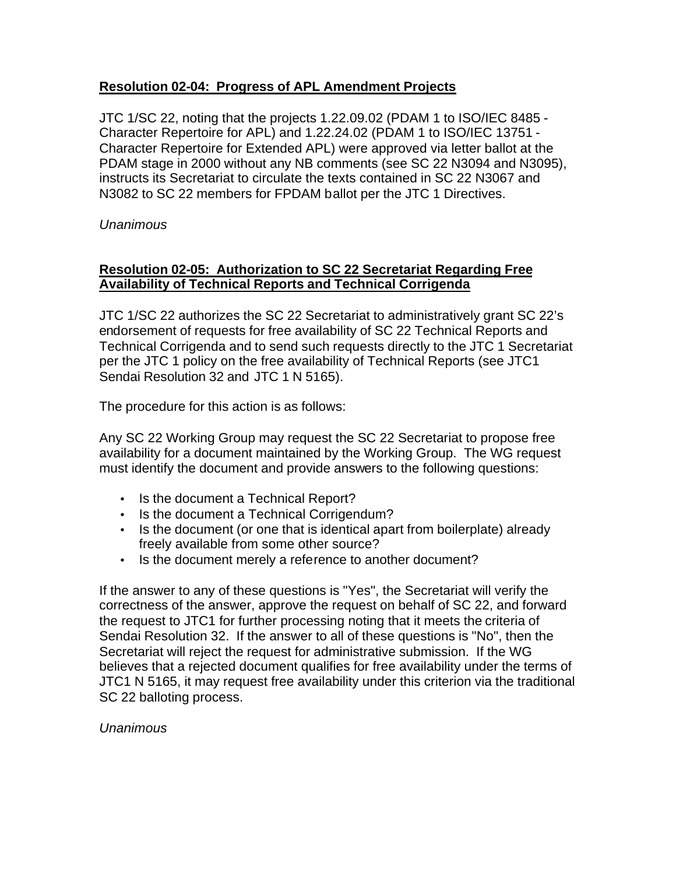# **Resolution 02-04: Progress of APL Amendment Projects**

JTC 1/SC 22, noting that the projects 1.22.09.02 (PDAM 1 to ISO/IEC 8485 - Character Repertoire for APL) and 1.22.24.02 (PDAM 1 to ISO/IEC 13751 - Character Repertoire for Extended APL) were approved via letter ballot at the PDAM stage in 2000 without any NB comments (see SC 22 N3094 and N3095), instructs its Secretariat to circulate the texts contained in SC 22 N3067 and N3082 to SC 22 members for FPDAM ballot per the JTC 1 Directives.

*Unanimous*

## **Resolution 02-05: Authorization to SC 22 Secretariat Regarding Free Availability of Technical Reports and Technical Corrigenda**

JTC 1/SC 22 authorizes the SC 22 Secretariat to administratively grant SC 22's endorsement of requests for free availability of SC 22 Technical Reports and Technical Corrigenda and to send such requests directly to the JTC 1 Secretariat per the JTC 1 policy on the free availability of Technical Reports (see JTC1 Sendai Resolution 32 and JTC 1 N 5165).

The procedure for this action is as follows:

Any SC 22 Working Group may request the SC 22 Secretariat to propose free availability for a document maintained by the Working Group. The WG request must identify the document and provide answers to the following questions:

- Is the document a Technical Report?
- Is the document a Technical Corrigendum?
- Is the document (or one that is identical apart from boilerplate) already freely available from some other source?
- Is the document merely a reference to another document?

If the answer to any of these questions is "Yes", the Secretariat will verify the correctness of the answer, approve the request on behalf of SC 22, and forward the request to JTC1 for further processing noting that it meets the criteria of Sendai Resolution 32. If the answer to all of these questions is "No", then the Secretariat will reject the request for administrative submission. If the WG believes that a rejected document qualifies for free availability under the terms of JTC1 N 5165, it may request free availability under this criterion via the traditional SC 22 balloting process.

*Unanimous*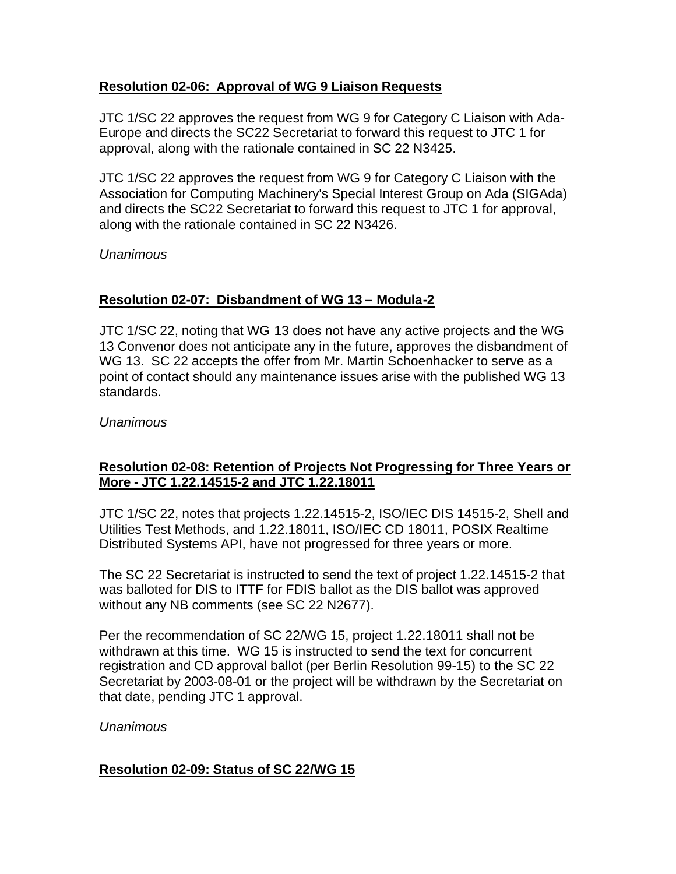# **Resolution 02-06: Approval of WG 9 Liaison Requests**

JTC 1/SC 22 approves the request from WG 9 for Category C Liaison with Ada-Europe and directs the SC22 Secretariat to forward this request to JTC 1 for approval, along with the rationale contained in SC 22 N3425.

JTC 1/SC 22 approves the request from WG 9 for Category C Liaison with the Association for Computing Machinery's Special Interest Group on Ada (SIGAda) and directs the SC22 Secretariat to forward this request to JTC 1 for approval, along with the rationale contained in SC 22 N3426.

*Unanimous*

# **Resolution 02-07: Disbandment of WG 13 – Modula-2**

JTC 1/SC 22, noting that WG 13 does not have any active projects and the WG 13 Convenor does not anticipate any in the future, approves the disbandment of WG 13. SC 22 accepts the offer from Mr. Martin Schoenhacker to serve as a point of contact should any maintenance issues arise with the published WG 13 standards.

*Unanimous*

# **Resolution 02-08: Retention of Projects Not Progressing for Three Years or More - JTC 1.22.14515-2 and JTC 1.22.18011**

JTC 1/SC 22, notes that projects 1.22.14515-2, ISO/IEC DIS 14515-2, Shell and Utilities Test Methods, and 1.22.18011, ISO/IEC CD 18011, POSIX Realtime Distributed Systems API, have not progressed for three years or more.

The SC 22 Secretariat is instructed to send the text of project 1.22.14515-2 that was balloted for DIS to ITTF for FDIS ballot as the DIS ballot was approved without any NB comments (see SC 22 N2677).

Per the recommendation of SC 22/WG 15, project 1.22.18011 shall not be withdrawn at this time. WG 15 is instructed to send the text for concurrent registration and CD approval ballot (per Berlin Resolution 99-15) to the SC 22 Secretariat by 2003-08-01 or the project will be withdrawn by the Secretariat on that date, pending JTC 1 approval.

# *Unanimous*

# **Resolution 02-09: Status of SC 22/WG 15**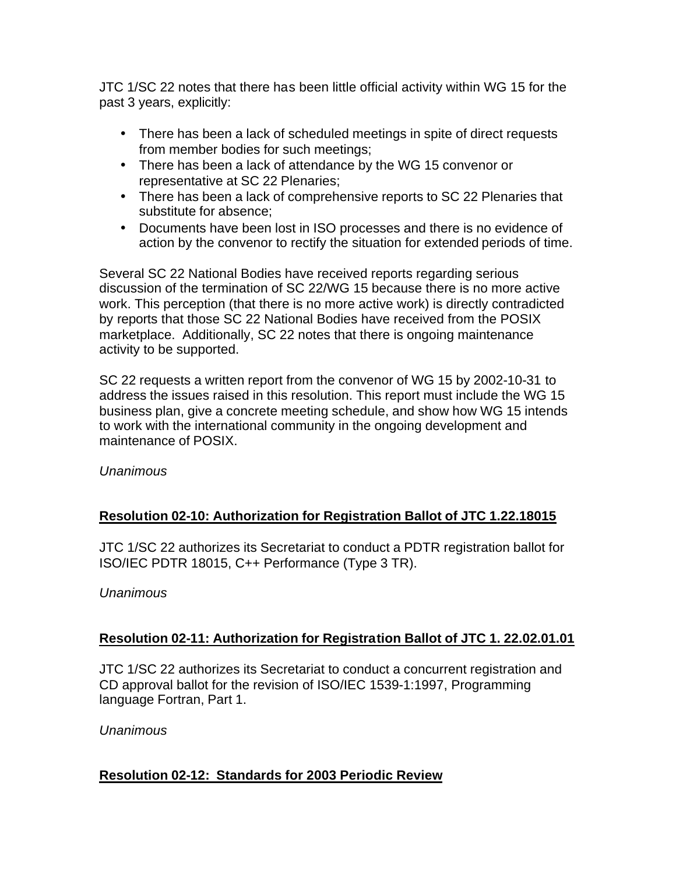JTC 1/SC 22 notes that there has been little official activity within WG 15 for the past 3 years, explicitly:

- There has been a lack of scheduled meetings in spite of direct requests from member bodies for such meetings;
- There has been a lack of attendance by the WG 15 convenor or representative at SC 22 Plenaries;
- There has been a lack of comprehensive reports to SC 22 Plenaries that substitute for absence;
- Documents have been lost in ISO processes and there is no evidence of action by the convenor to rectify the situation for extended periods of time.

Several SC 22 National Bodies have received reports regarding serious discussion of the termination of SC 22/WG 15 because there is no more active work. This perception (that there is no more active work) is directly contradicted by reports that those SC 22 National Bodies have received from the POSIX marketplace. Additionally, SC 22 notes that there is ongoing maintenance activity to be supported.

SC 22 requests a written report from the convenor of WG 15 by 2002-10-31 to address the issues raised in this resolution. This report must include the WG 15 business plan, give a concrete meeting schedule, and show how WG 15 intends to work with the international community in the ongoing development and maintenance of POSIX.

*Unanimous*

# **Resolution 02-10: Authorization for Registration Ballot of JTC 1.22.18015**

JTC 1/SC 22 authorizes its Secretariat to conduct a PDTR registration ballot for ISO/IEC PDTR 18015, C++ Performance (Type 3 TR).

#### *Unanimous*

# **Resolution 02-11: Authorization for Registration Ballot of JTC 1. 22.02.01.01**

JTC 1/SC 22 authorizes its Secretariat to conduct a concurrent registration and CD approval ballot for the revision of ISO/IEC 1539-1:1997, Programming language Fortran, Part 1.

*Unanimous*

# **Resolution 02-12: Standards for 2003 Periodic Review**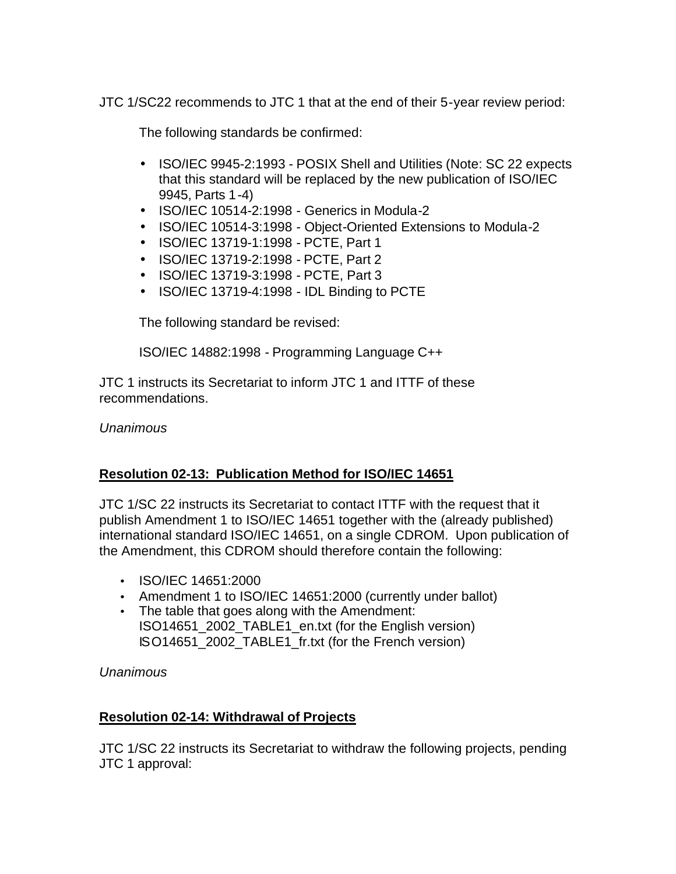JTC 1/SC22 recommends to JTC 1 that at the end of their 5-year review period:

The following standards be confirmed:

- ISO/IEC 9945-2:1993 POSIX Shell and Utilities (Note: SC 22 expects that this standard will be replaced by the new publication of ISO/IEC 9945, Parts 1-4)
- ISO/IEC 10514-2:1998 Generics in Modula-2
- ISO/IEC 10514-3:1998 Object-Oriented Extensions to Modula-2
- ISO/IEC 13719-1:1998 PCTE, Part 1
- ISO/IEC 13719-2:1998 PCTE, Part 2
- ISO/IEC 13719-3:1998 PCTE, Part 3
- ISO/IEC 13719-4:1998 IDL Binding to PCTE

The following standard be revised:

ISO/IEC 14882:1998 - Programming Language C++

JTC 1 instructs its Secretariat to inform JTC 1 and ITTF of these recommendations.

*Unanimous*

# **Resolution 02-13: Publication Method for ISO/IEC 14651**

JTC 1/SC 22 instructs its Secretariat to contact ITTF with the request that it publish Amendment 1 to ISO/IEC 14651 together with the (already published) international standard ISO/IEC 14651, on a single CDROM. Upon publication of the Amendment, this CDROM should therefore contain the following:

- ISO/IEC 14651:2000
- Amendment 1 to ISO/IEC 14651:2000 (currently under ballot)
- The table that goes along with the Amendment: ISO14651\_2002\_TABLE1\_en.txt (for the English version) ISO14651\_2002\_TABLE1\_fr.txt (for the French version)

*Unanimous*

# **Resolution 02-14: Withdrawal of Projects**

JTC 1/SC 22 instructs its Secretariat to withdraw the following projects, pending JTC 1 approval: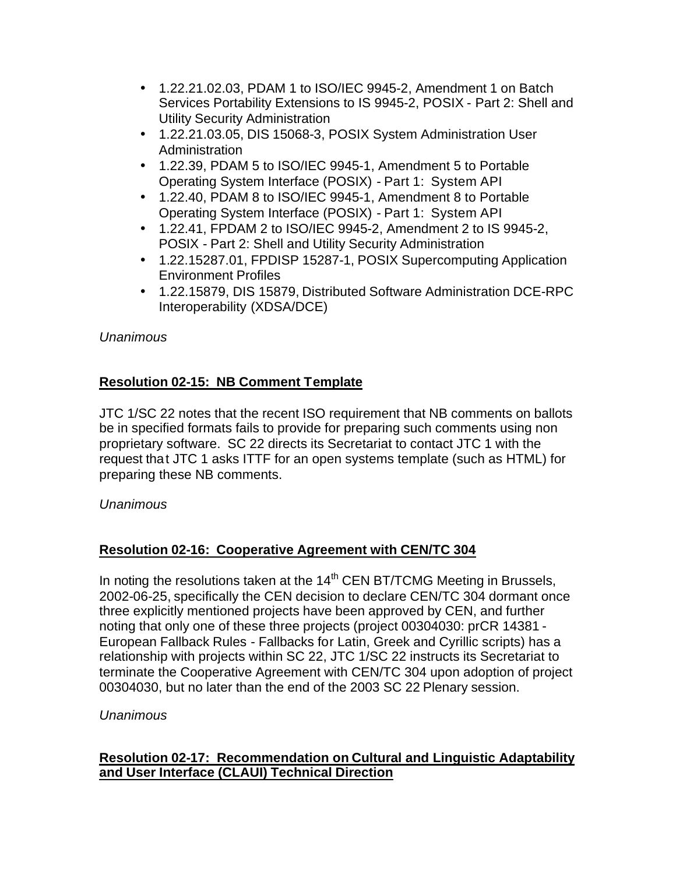- 1.22.21.02.03, PDAM 1 to ISO/IEC 9945-2, Amendment 1 on Batch Services Portability Extensions to IS 9945-2, POSIX - Part 2: Shell and Utility Security Administration
- 1.22.21.03.05, DIS 15068-3, POSIX System Administration User **Administration**
- 1.22.39, PDAM 5 to ISO/IEC 9945-1, Amendment 5 to Portable Operating System Interface (POSIX) - Part 1: System API
- 1.22.40, PDAM 8 to ISO/IEC 9945-1, Amendment 8 to Portable Operating System Interface (POSIX) - Part 1: System API
- 1.22.41, FPDAM 2 to ISO/IEC 9945-2, Amendment 2 to IS 9945-2, POSIX - Part 2: Shell and Utility Security Administration
- 1.22.15287.01, FPDISP 15287-1, POSIX Supercomputing Application Environment Profiles
- 1.22.15879, DIS 15879, Distributed Software Administration DCE-RPC Interoperability (XDSA/DCE)

# **Resolution 02-15: NB Comment Template**

JTC 1/SC 22 notes that the recent ISO requirement that NB comments on ballots be in specified formats fails to provide for preparing such comments using non proprietary software. SC 22 directs its Secretariat to contact JTC 1 with the request that JTC 1 asks ITTF for an open systems template (such as HTML) for preparing these NB comments.

# *Unanimous*

# **Resolution 02-16: Cooperative Agreement with CEN/TC 304**

In noting the resolutions taken at the  $14<sup>th</sup>$  CEN BT/TCMG Meeting in Brussels, 2002-06-25, specifically the CEN decision to declare CEN/TC 304 dormant once three explicitly mentioned projects have been approved by CEN, and further noting that only one of these three projects (project 00304030: prCR 14381 - European Fallback Rules - Fallbacks for Latin, Greek and Cyrillic scripts) has a relationship with projects within SC 22, JTC 1/SC 22 instructs its Secretariat to terminate the Cooperative Agreement with CEN/TC 304 upon adoption of project 00304030, but no later than the end of the 2003 SC 22 Plenary session.

# *Unanimous*

## **Resolution 02-17: Recommendation on Cultural and Linguistic Adaptability and User Interface (CLAUI) Technical Direction**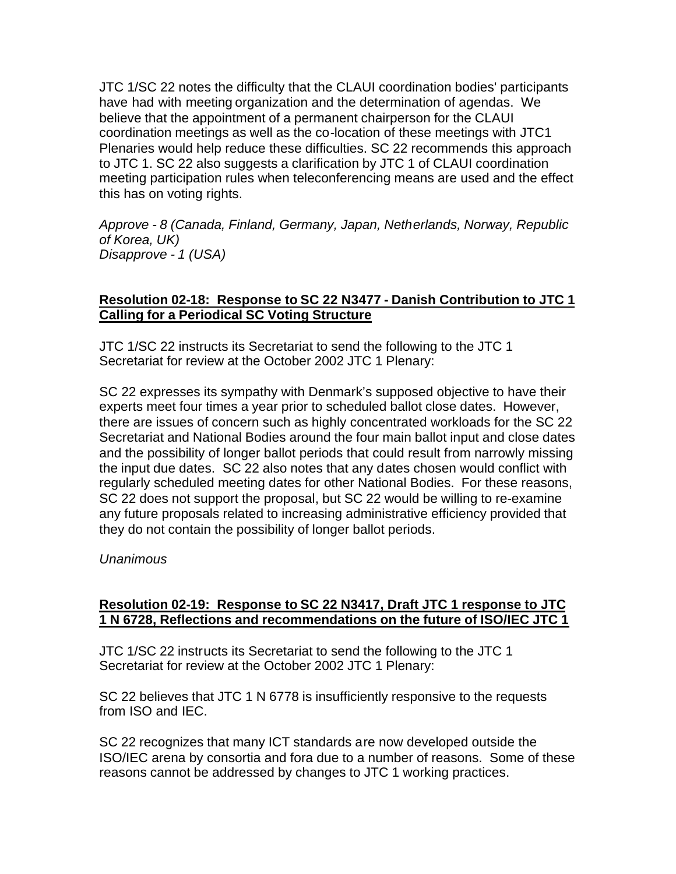JTC 1/SC 22 notes the difficulty that the CLAUI coordination bodies' participants have had with meeting organization and the determination of agendas. We believe that the appointment of a permanent chairperson for the CLAUI coordination meetings as well as the co-location of these meetings with JTC1 Plenaries would help reduce these difficulties. SC 22 recommends this approach to JTC 1. SC 22 also suggests a clarification by JTC 1 of CLAUI coordination meeting participation rules when teleconferencing means are used and the effect this has on voting rights.

*Approve - 8 (Canada, Finland, Germany, Japan, Netherlands, Norway, Republic of Korea, UK) Disapprove - 1 (USA)*

### **Resolution 02-18: Response to SC 22 N3477 - Danish Contribution to JTC 1 Calling for a Periodical SC Voting Structure**

JTC 1/SC 22 instructs its Secretariat to send the following to the JTC 1 Secretariat for review at the October 2002 JTC 1 Plenary:

SC 22 expresses its sympathy with Denmark's supposed objective to have their experts meet four times a year prior to scheduled ballot close dates. However, there are issues of concern such as highly concentrated workloads for the SC 22 Secretariat and National Bodies around the four main ballot input and close dates and the possibility of longer ballot periods that could result from narrowly missing the input due dates. SC 22 also notes that any dates chosen would conflict with regularly scheduled meeting dates for other National Bodies. For these reasons, SC 22 does not support the proposal, but SC 22 would be willing to re-examine any future proposals related to increasing administrative efficiency provided that they do not contain the possibility of longer ballot periods.

#### *Unanimous*

#### **Resolution 02-19: Response to SC 22 N3417, Draft JTC 1 response to JTC 1 N 6728, Reflections and recommendations on the future of ISO/IEC JTC 1**

JTC 1/SC 22 instructs its Secretariat to send the following to the JTC 1 Secretariat for review at the October 2002 JTC 1 Plenary:

SC 22 believes that JTC 1 N 6778 is insufficiently responsive to the requests from ISO and IEC.

SC 22 recognizes that many ICT standards are now developed outside the ISO/IEC arena by consortia and fora due to a number of reasons. Some of these reasons cannot be addressed by changes to JTC 1 working practices.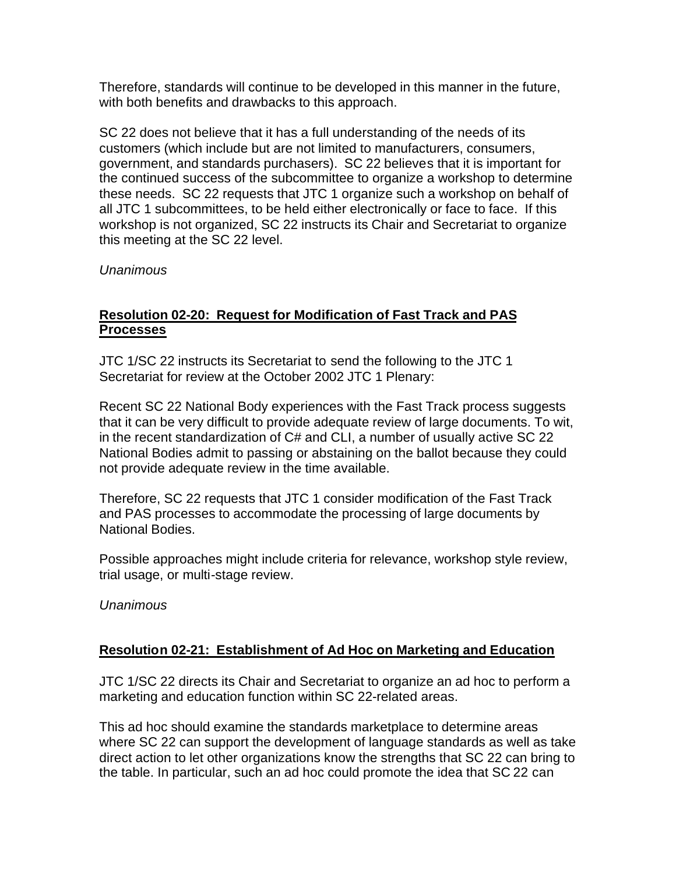Therefore, standards will continue to be developed in this manner in the future, with both benefits and drawbacks to this approach.

SC 22 does not believe that it has a full understanding of the needs of its customers (which include but are not limited to manufacturers, consumers, government, and standards purchasers). SC 22 believes that it is important for the continued success of the subcommittee to organize a workshop to determine these needs. SC 22 requests that JTC 1 organize such a workshop on behalf of all JTC 1 subcommittees, to be held either electronically or face to face. If this workshop is not organized, SC 22 instructs its Chair and Secretariat to organize this meeting at the SC 22 level.

*Unanimous*

## **Resolution 02-20: Request for Modification of Fast Track and PAS Processes**

JTC 1/SC 22 instructs its Secretariat to send the following to the JTC 1 Secretariat for review at the October 2002 JTC 1 Plenary:

Recent SC 22 National Body experiences with the Fast Track process suggests that it can be very difficult to provide adequate review of large documents. To wit, in the recent standardization of C# and CLI, a number of usually active SC 22 National Bodies admit to passing or abstaining on the ballot because they could not provide adequate review in the time available.

Therefore, SC 22 requests that JTC 1 consider modification of the Fast Track and PAS processes to accommodate the processing of large documents by National Bodies.

Possible approaches might include criteria for relevance, workshop style review, trial usage, or multi-stage review.

*Unanimous*

#### **Resolution 02-21: Establishment of Ad Hoc on Marketing and Education**

JTC 1/SC 22 directs its Chair and Secretariat to organize an ad hoc to perform a marketing and education function within SC 22-related areas.

This ad hoc should examine the standards marketplace to determine areas where SC 22 can support the development of language standards as well as take direct action to let other organizations know the strengths that SC 22 can bring to the table. In particular, such an ad hoc could promote the idea that SC 22 can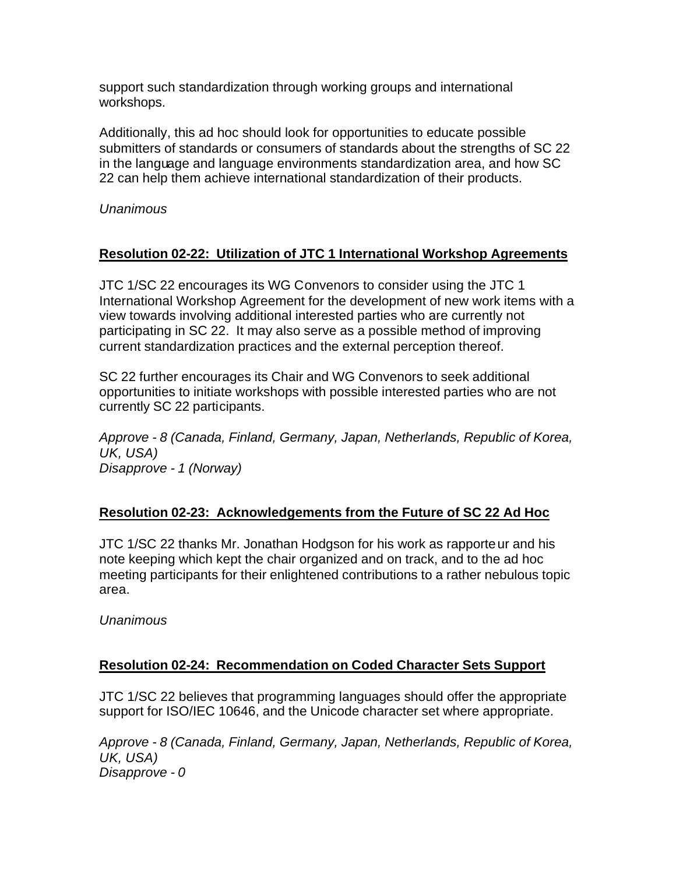support such standardization through working groups and international workshops.

Additionally, this ad hoc should look for opportunities to educate possible submitters of standards or consumers of standards about the strengths of SC 22 in the language and language environments standardization area, and how SC 22 can help them achieve international standardization of their products.

*Unanimous*

## **Resolution 02-22: Utilization of JTC 1 International Workshop Agreements**

JTC 1/SC 22 encourages its WG Convenors to consider using the JTC 1 International Workshop Agreement for the development of new work items with a view towards involving additional interested parties who are currently not participating in SC 22. It may also serve as a possible method of improving current standardization practices and the external perception thereof.

SC 22 further encourages its Chair and WG Convenors to seek additional opportunities to initiate workshops with possible interested parties who are not currently SC 22 participants.

*Approve - 8 (Canada, Finland, Germany, Japan, Netherlands, Republic of Korea, UK, USA) Disapprove - 1 (Norway)*

# **Resolution 02-23: Acknowledgements from the Future of SC 22 Ad Hoc**

JTC 1/SC 22 thanks Mr. Jonathan Hodgson for his work as rapporteur and his note keeping which kept the chair organized and on track, and to the ad hoc meeting participants for their enlightened contributions to a rather nebulous topic area.

*Unanimous*

#### **Resolution 02-24: Recommendation on Coded Character Sets Support**

JTC 1/SC 22 believes that programming languages should offer the appropriate support for ISO/IEC 10646, and the Unicode character set where appropriate.

*Approve - 8 (Canada, Finland, Germany, Japan, Netherlands, Republic of Korea, UK, USA) Disapprove - 0*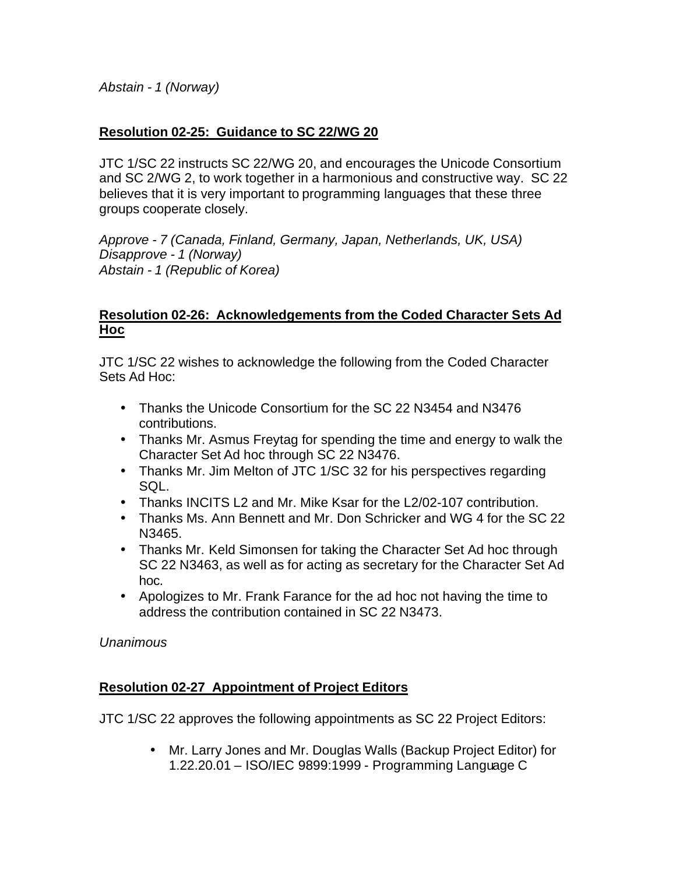*Abstain - 1 (Norway)*

## **Resolution 02-25: Guidance to SC 22/WG 20**

JTC 1/SC 22 instructs SC 22/WG 20, and encourages the Unicode Consortium and SC 2/WG 2, to work together in a harmonious and constructive way. SC 22 believes that it is very important to programming languages that these three groups cooperate closely.

*Approve - 7 (Canada, Finland, Germany, Japan, Netherlands, UK, USA) Disapprove - 1 (Norway) Abstain - 1 (Republic of Korea)*

### **Resolution 02-26: Acknowledgements from the Coded Character Sets Ad Hoc**

JTC 1/SC 22 wishes to acknowledge the following from the Coded Character Sets Ad Hoc:

- Thanks the Unicode Consortium for the SC 22 N3454 and N3476 contributions.
- Thanks Mr. Asmus Freytag for spending the time and energy to walk the Character Set Ad hoc through SC 22 N3476.
- Thanks Mr. Jim Melton of JTC 1/SC 32 for his perspectives regarding SQL.
- Thanks INCITS L2 and Mr. Mike Ksar for the L2/02-107 contribution.
- Thanks Ms. Ann Bennett and Mr. Don Schricker and WG 4 for the SC 22 N3465.
- Thanks Mr. Keld Simonsen for taking the Character Set Ad hoc through SC 22 N3463, as well as for acting as secretary for the Character Set Ad hoc.
- Apologizes to Mr. Frank Farance for the ad hoc not having the time to address the contribution contained in SC 22 N3473.

*Unanimous*

# **Resolution 02-27 Appointment of Project Editors**

JTC 1/SC 22 approves the following appointments as SC 22 Project Editors:

• Mr. Larry Jones and Mr. Douglas Walls (Backup Project Editor) for 1.22.20.01 – ISO/IEC 9899:1999 - Programming Language C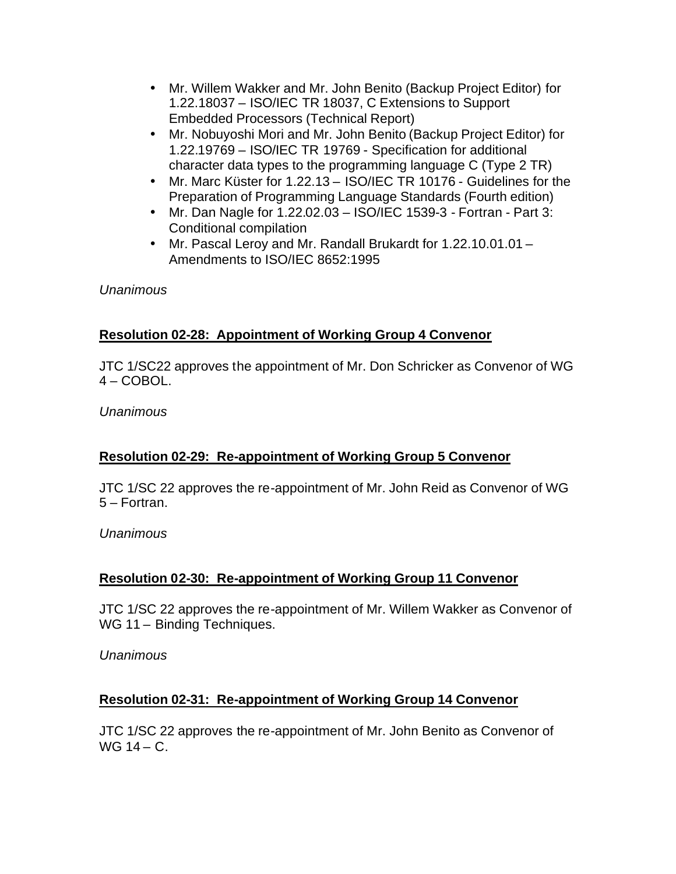- Mr. Willem Wakker and Mr. John Benito (Backup Project Editor) for 1.22.18037 – ISO/IEC TR 18037, C Extensions to Support Embedded Processors (Technical Report)
- Mr. Nobuyoshi Mori and Mr. John Benito (Backup Project Editor) for 1.22.19769 – ISO/IEC TR 19769 - Specification for additional character data types to the programming language C (Type 2 TR)
- Mr. Marc Küster for 1.22.13 ISO/IEC TR 10176 Guidelines for the Preparation of Programming Language Standards (Fourth edition)
- Mr. Dan Nagle for 1.22.02.03 ISO/IEC 1539-3 Fortran Part 3: Conditional compilation
- Mr. Pascal Leroy and Mr. Randall Brukardt for 1.22.10.01.01 Amendments to ISO/IEC 8652:1995

# **Resolution 02-28: Appointment of Working Group 4 Convenor**

JTC 1/SC22 approves the appointment of Mr. Don Schricker as Convenor of WG 4 – COBOL.

*Unanimous*

# **Resolution 02-29: Re-appointment of Working Group 5 Convenor**

JTC 1/SC 22 approves the re-appointment of Mr. John Reid as Convenor of WG 5 – Fortran.

*Unanimous*

# **Resolution 02-30: Re-appointment of Working Group 11 Convenor**

JTC 1/SC 22 approves the re-appointment of Mr. Willem Wakker as Convenor of WG 11 – Binding Techniques.

*Unanimous*

# **Resolution 02-31: Re-appointment of Working Group 14 Convenor**

JTC 1/SC 22 approves the re-appointment of Mr. John Benito as Convenor of  $WG$  14 –  $C$ .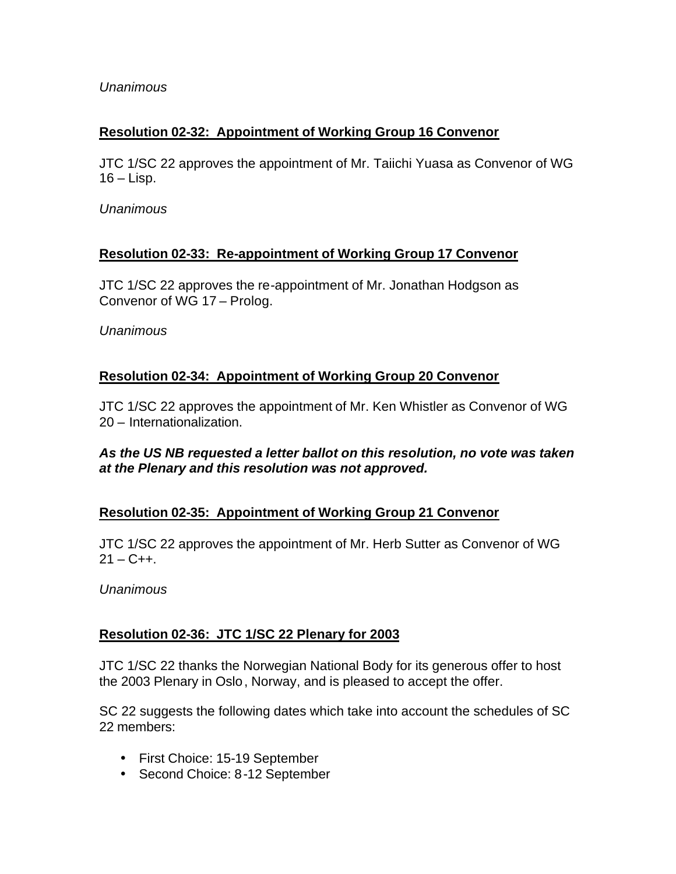# **Resolution 02-32: Appointment of Working Group 16 Convenor**

JTC 1/SC 22 approves the appointment of Mr. Taiichi Yuasa as Convenor of WG  $16 -$ Lisp.

*Unanimous*

## **Resolution 02-33: Re-appointment of Working Group 17 Convenor**

JTC 1/SC 22 approves the re-appointment of Mr. Jonathan Hodgson as Convenor of WG 17 – Prolog.

*Unanimous*

# **Resolution 02-34: Appointment of Working Group 20 Convenor**

JTC 1/SC 22 approves the appointment of Mr. Ken Whistler as Convenor of WG 20 – Internationalization.

#### *As the US NB requested a letter ballot on this resolution, no vote was taken at the Plenary and this resolution was not approved.*

# **Resolution 02-35: Appointment of Working Group 21 Convenor**

JTC 1/SC 22 approves the appointment of Mr. Herb Sutter as Convenor of WG  $21 - C_{++}$ .

*Unanimous*

# **Resolution 02-36: JTC 1/SC 22 Plenary for 2003**

JTC 1/SC 22 thanks the Norwegian National Body for its generous offer to host the 2003 Plenary in Oslo, Norway, and is pleased to accept the offer.

SC 22 suggests the following dates which take into account the schedules of SC 22 members:

- First Choice: 15-19 September
- Second Choice: 8-12 September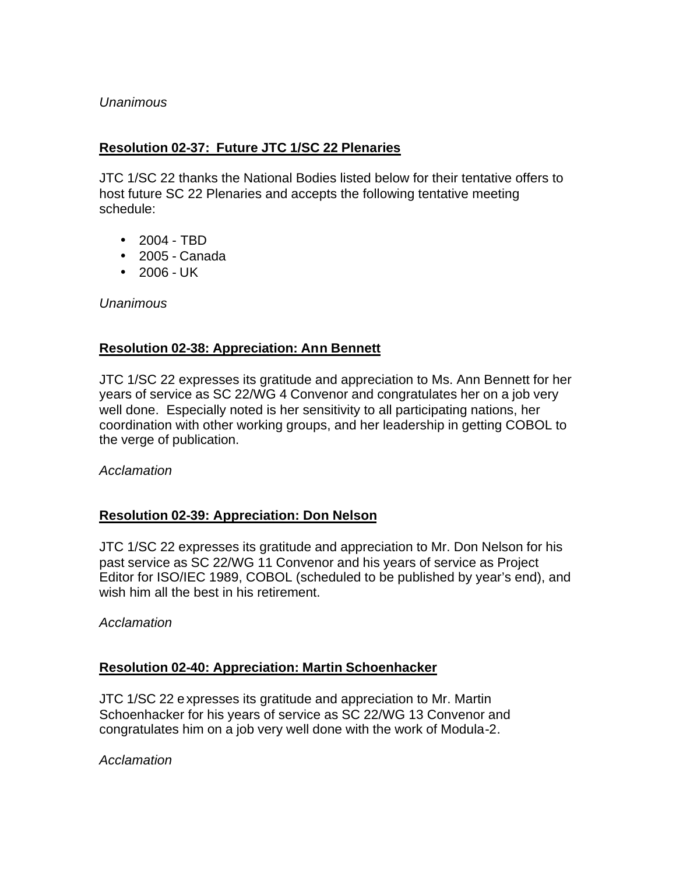## **Resolution 02-37: Future JTC 1/SC 22 Plenaries**

JTC 1/SC 22 thanks the National Bodies listed below for their tentative offers to host future SC 22 Plenaries and accepts the following tentative meeting schedule:

- 2004 TBD
- 2005 Canada
- 2006 UK

*Unanimous*

## **Resolution 02-38: Appreciation: Ann Bennett**

JTC 1/SC 22 expresses its gratitude and appreciation to Ms. Ann Bennett for her years of service as SC 22/WG 4 Convenor and congratulates her on a job very well done. Especially noted is her sensitivity to all participating nations, her coordination with other working groups, and her leadership in getting COBOL to the verge of publication.

*Acclamation*

#### **Resolution 02-39: Appreciation: Don Nelson**

JTC 1/SC 22 expresses its gratitude and appreciation to Mr. Don Nelson for his past service as SC 22/WG 11 Convenor and his years of service as Project Editor for ISO/IEC 1989, COBOL (scheduled to be published by year's end), and wish him all the best in his retirement.

*Acclamation*

#### **Resolution 02-40: Appreciation: Martin Schoenhacker**

JTC 1/SC 22 expresses its gratitude and appreciation to Mr. Martin Schoenhacker for his years of service as SC 22/WG 13 Convenor and congratulates him on a job very well done with the work of Modula-2.

*Acclamation*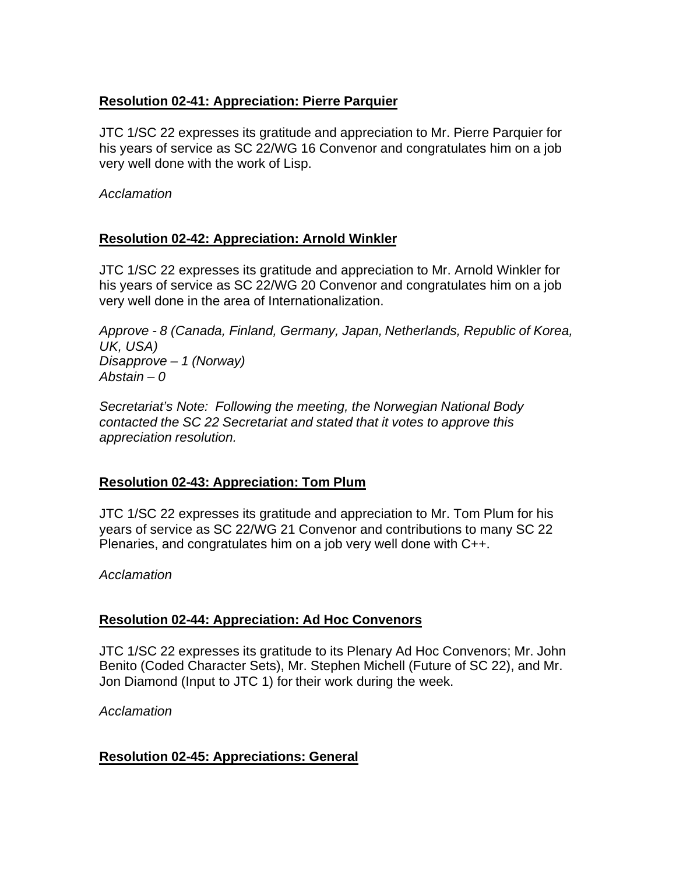## **Resolution 02-41: Appreciation: Pierre Parquier**

JTC 1/SC 22 expresses its gratitude and appreciation to Mr. Pierre Parquier for his years of service as SC 22/WG 16 Convenor and congratulates him on a job very well done with the work of Lisp.

*Acclamation*

## **Resolution 02-42: Appreciation: Arnold Winkler**

JTC 1/SC 22 expresses its gratitude and appreciation to Mr. Arnold Winkler for his years of service as SC 22/WG 20 Convenor and congratulates him on a job very well done in the area of Internationalization.

*Approve - 8 (Canada, Finland, Germany, Japan, Netherlands, Republic of Korea, UK, USA) Disapprove – 1 (Norway) Abstain – 0*

*Secretariat's Note: Following the meeting, the Norwegian National Body contacted the SC 22 Secretariat and stated that it votes to approve this appreciation resolution.* 

# **Resolution 02-43: Appreciation: Tom Plum**

JTC 1/SC 22 expresses its gratitude and appreciation to Mr. Tom Plum for his years of service as SC 22/WG 21 Convenor and contributions to many SC 22 Plenaries, and congratulates him on a job very well done with C++.

*Acclamation*

#### **Resolution 02-44: Appreciation: Ad Hoc Convenors**

JTC 1/SC 22 expresses its gratitude to its Plenary Ad Hoc Convenors; Mr. John Benito (Coded Character Sets), Mr. Stephen Michell (Future of SC 22), and Mr. Jon Diamond (Input to JTC 1) for their work during the week.

*Acclamation*

# **Resolution 02-45: Appreciations: General**